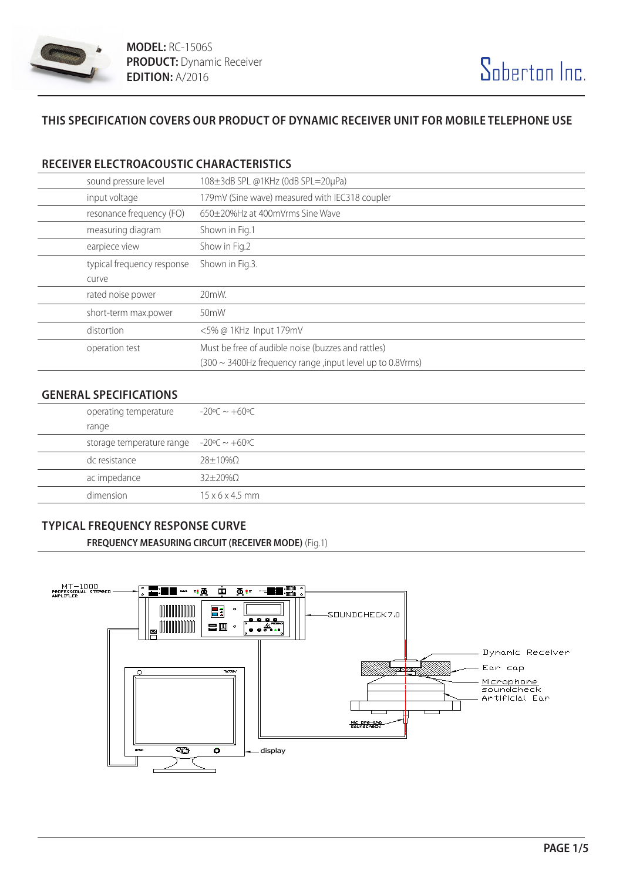

# **THIS SPECIFICATION COVERS OUR PRODUCT OF DYNAMIC RECEIVER UNIT FOR MOBILE TELEPHONE USE**

## **RECEIVER ELECTROACOUSTIC CHARACTERISTICS**

| sound pressure level       | 108±3dB SPL @1KHz (0dB SPL=20µPa)                               |
|----------------------------|-----------------------------------------------------------------|
| input voltage              | 179mV (Sine wave) measured with IEC318 coupler                  |
| resonance frequency (FO)   | 650±20%Hz at 400mVrms Sine Wave                                 |
| measuring diagram          | Shown in Fig.1                                                  |
| earpiece view              | Show in Fig.2                                                   |
| typical frequency response | Shown in Fig.3.                                                 |
| curve                      |                                                                 |
| rated noise power          | 20mW.                                                           |
| short-term max.power       | 50 <sub>m</sub> W                                               |
| distortion                 | <5% @ 1KHz Input 179mV                                          |
| operation test             | Must be free of audible noise (buzzes and rattles)              |
|                            | $(300 \sim 3400$ Hz frequency range, input level up to 0.8Vrms) |

### **GENERAL SPECIFICATIONS**

| operating temperature                         | $-20^{\circ}$ C $\sim +60^{\circ}$ C |
|-----------------------------------------------|--------------------------------------|
| range                                         |                                      |
| storage temperature range $-20$ °C ~ $+60$ °C |                                      |
| dc resistance                                 | 28+10%Q                              |
| ac impedance                                  | $32\pm20\%$ $\Omega$                 |
| dimension                                     | $15 \times 6 \times 4.5$ mm          |

### **TYPICAL FREQUENCY RESPONSE CURVE**

**FREQUENCY MEASURING CIRCUIT (RECEIVER MODE)** (Fig.1)

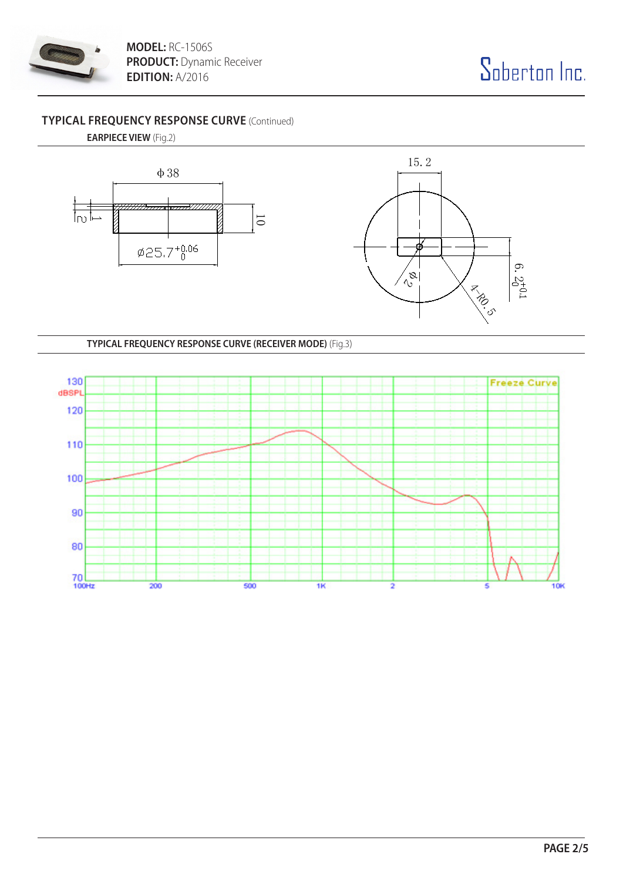

**MODEL:** RC-1506S **PRODUCT:** Dynamic Receiver **EDITION:** A/2016

# **TYPICAL FREQUENCY RESPONSE CURVE** (Continued)

**EARPIECE VIEW** (Fig.2)



**TYPICAL FREQUENCY RESPONSE CURVE (RECEIVER MODE)** (Fig.3)

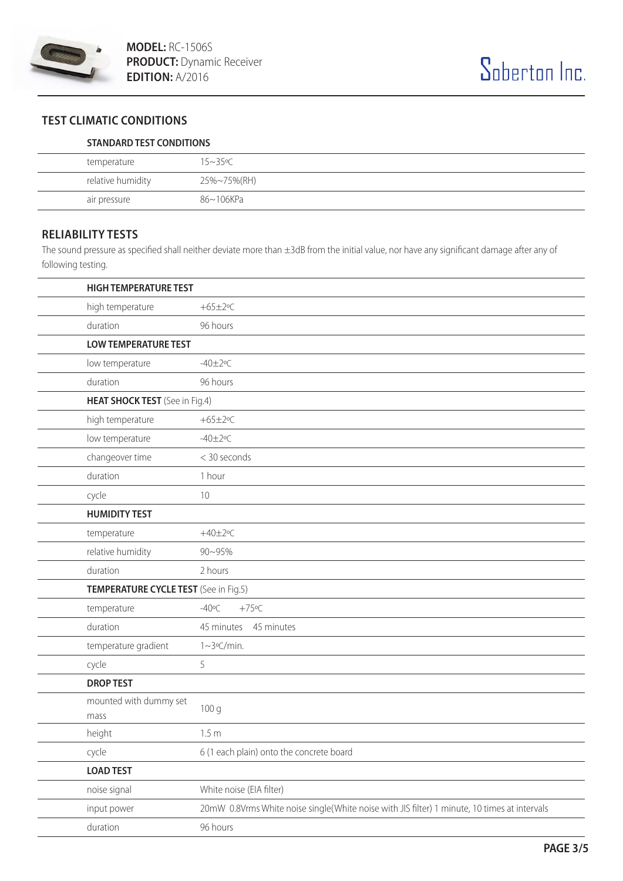

# **TEST CLIMATIC CONDITIONS**

#### **STANDARD TEST CONDITIONS**

| temperature       | $15 - 35$ °C |
|-------------------|--------------|
| relative humidity | 25%~75%(RH)  |
| air pressure      | 86~106KPa    |

#### **RELIABILITY TESTS**

The sound pressure as specified shall neither deviate more than ±3dB from the initial value, nor have any significant damage after any of following testing.

| <b>HIGH TEMPERATURE TEST</b>          |                                                                                              |  |
|---------------------------------------|----------------------------------------------------------------------------------------------|--|
| high temperature                      | $+65\pm2$ °C                                                                                 |  |
| duration                              | 96 hours                                                                                     |  |
| <b>LOW TEMPERATURE TEST</b>           |                                                                                              |  |
| low temperature                       | $-40 \pm 2$ °C                                                                               |  |
| duration                              | 96 hours                                                                                     |  |
| HEAT SHOCK TEST (See in Fig.4)        |                                                                                              |  |
| high temperature                      | $+65\pm2$ °C                                                                                 |  |
| low temperature                       | $-40 \pm 2$ °C                                                                               |  |
| changeover time                       | < 30 seconds                                                                                 |  |
| duration                              | 1 hour                                                                                       |  |
| cycle                                 | 10                                                                                           |  |
| <b>HUMIDITY TEST</b>                  |                                                                                              |  |
| temperature                           | $+40\pm2$ °C                                                                                 |  |
| relative humidity                     | 90~95%                                                                                       |  |
| duration                              | 2 hours                                                                                      |  |
| TEMPERATURE CYCLE TEST (See in Fig.5) |                                                                                              |  |
| temperature                           | $-40^{\circ}$ C<br>$+75$ °C                                                                  |  |
| duration                              | 45 minutes 45 minutes                                                                        |  |
| temperature gradient                  | 1~3°C/min.                                                                                   |  |
| cycle                                 | 5                                                                                            |  |
| <b>DROP TEST</b>                      |                                                                                              |  |
| mounted with dummy set<br>mass        | 100 g                                                                                        |  |
| height                                | 1.5 <sub>m</sub>                                                                             |  |
| cycle                                 | 6 (1 each plain) onto the concrete board                                                     |  |
| <b>LOAD TEST</b>                      |                                                                                              |  |
| noise signal                          | White noise (EIA filter)                                                                     |  |
| input power                           | 20mW 0.8Vrms White noise single(White noise with JIS filter) 1 minute, 10 times at intervals |  |
| duration                              | 96 hours                                                                                     |  |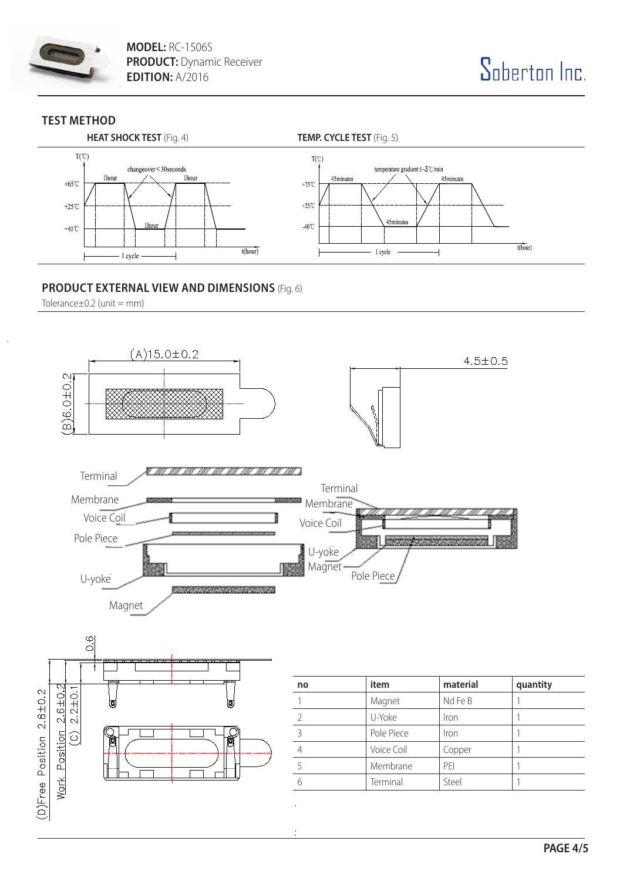

**MODEL:** RC-1506S **PRODUCT:** Dynamic Receiver **EDITION:** A/2016



## **TEST METHOD**



## **PRODUCT EXTERNAL VIEW AND DIMENSIONS** (Fig. 6)

Tolerance $\pm$ 0.2 (unit = mm)